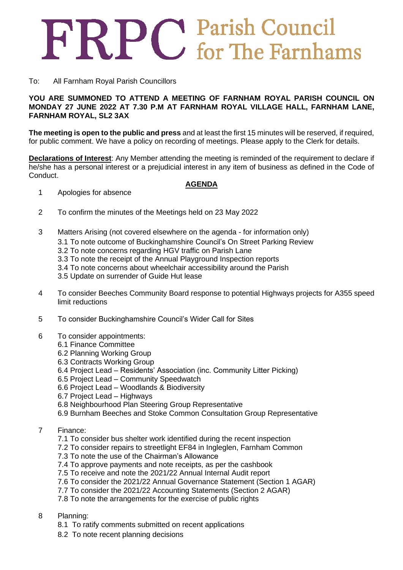## FRPC Parish Council

## To: All Farnham Royal Parish Councillors

**YOU ARE SUMMONED TO ATTEND A MEETING OF FARNHAM ROYAL PARISH COUNCIL ON MONDAY 27 JUNE 2022 AT 7.30 P.M AT FARNHAM ROYAL VILLAGE HALL, FARNHAM LANE, FARNHAM ROYAL, SL2 3AX**

**The meeting is open to the public and press** and at least the first 15 minutes will be reserved, if required, for public comment. We have a policy on recording of meetings. Please apply to the Clerk for details.

**Declarations of Interest**: Any Member attending the meeting is reminded of the requirement to declare if he/she has a personal interest or a prejudicial interest in any item of business as defined in the Code of Conduct.

## **AGENDA**

- 1 Apologies for absence
- 2 To confirm the minutes of the Meetings held on 23 May 2022
- 3 Matters Arising (not covered elsewhere on the agenda for information only)
	- 3.1 To note outcome of Buckinghamshire Council's On Street Parking Review
	- 3.2 To note concerns regarding HGV traffic on Parish Lane
	- 3.3 To note the receipt of the Annual Playground Inspection reports
	- 3.4 To note concerns about wheelchair accessibility around the Parish
	- 3.5 Update on surrender of Guide Hut lease
- 4 To consider Beeches Community Board response to potential Highways projects for A355 speed limit reductions
- 5 To consider Buckinghamshire Council's Wider Call for Sites
- 6 To consider appointments:
	- 6.1 Finance Committee
	- 6.2 Planning Working Group
	- 6.3 Contracts Working Group
	- 6.4 Project Lead Residents' Association (inc. Community Litter Picking)
	- 6.5 Project Lead Community Speedwatch
	- 6.6 Project Lead Woodlands & Biodiversity
	- 6.7 Project Lead Highways
	- 6.8 Neighbourhood Plan Steering Group Representative
	- 6.9 Burnham Beeches and Stoke Common Consultation Group Representative
- 7 Finance:
	- 7.1 To consider bus shelter work identified during the recent inspection
	- 7.2 To consider repairs to streetlight EF84 in Ingleglen, Farnham Common
	- 7.3 To note the use of the Chairman's Allowance
	- 7.4 To approve payments and note receipts, as per the cashbook
	- 7.5 To receive and note the 2021/22 Annual Internal Audit report
	- 7.6 To consider the 2021/22 Annual Governance Statement (Section 1 AGAR)
	- 7.7 To consider the 2021/22 Accounting Statements (Section 2 AGAR)
	- 7.8 To note the arrangements for the exercise of public rights
- 8 Planning:
	- 8.1 To ratify comments submitted on recent applications
	- 8.2 To note recent planning decisions